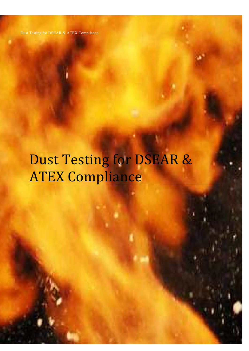Dust Testing for DSEAR & ATEX Compliance Dust Testing for DSEAR & ATEX Compliance

# Dust Testing for DSEAR & ATEX Compliance

Page 1 of 16 December 2020 and 16 December 2020 and 16 December 2020 and 16 December 2020 and 16 December 2020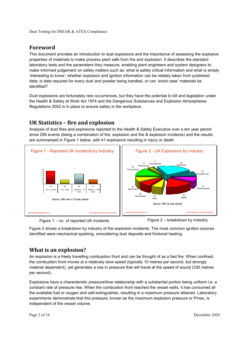# **Foreword**

This document provides an introduction to dust explosions and the importance of assessing the explosive properties of materials to make process plant safe from fire and explosion. It describes the standard laboratory tests and the parameters they measure, enabling plant engineers and system designers to make informed judgement on safety matters such as: what is safety critical information and what is simply 'interesting to know'; whether explosion and ignition information can be reliably taken from published data; is data required for every dust and powder being handled, or can 'worst case' materials be identified?

Dust explosions are fortunately rare occurrences, but they have the potential to kill and legislation under the Health & Safety at Work Act 1974 and the Dangerous Substances and Explosion Atmospheres Regulations 2002 is in place to ensure safety in the workplace.

## **UK Statistics – fire and explosion**

Analysis of dust fires and explosions reported to the Health & Safety Executive over a ten year period show 295 events (being a combination of fire, explosion and fire & explosion incidents) and the results are summarised in Figure 1 below, with 41 explosions resulting in injury or death.



Figure 1 – no. of reported UK incidents Figure 2 – breakdown by industry

Figure 2 shows a breakdown by industry of the explosion incidents. The most common ignition sources identified were mechanical sparking, smouldering dust deposits and frictional heating.

## **What is an explosion?**

An explosion is a freely travelling combustion front and can be thought of as a fast fire. When confined, the combustion front moves at a relatively slow speed (typically 10 metres per second, but strongly material dependent), yet generates a rise in pressure that will travel at the speed of sound (330 metres per second).

Explosions have a characteristic pressure/time relationship with a substantial portion being uniform i.e. a constant rate of pressure rise. When the combustion front reached the vessel walls, it has consumed all the available fuel or oxygen and self-extinguishes, resulting in a maximum pressure attained. Laboratory experiments demonstrate that this pressure, known as the maximum explosion pressure or Pmax, is independent of the vessel volume.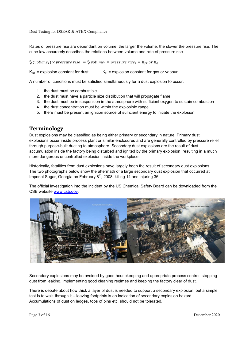Rates of pressure rise are dependant on volume; the larger the volume, the slower the pressure rise. The cube law accurately describes the relations between volume and rate of pressure rise.

 $\sqrt[3]{(volume_{1})} \times pressure\ rise_{1} = \sqrt[3]{volume_{2}} \times pressure\ rise_{2} = K_{ST}\ or\ K_{G}$ 

 $K_{ST}$  = explosion constant for dust  $K_G$  = explosion constant for gas or vapour

A number of conditions must be satisfied simultaneously for a dust explosion to occur:

- 1. the dust must be combustible
- 2. the dust must have a particle size distribution that will propagate flame
- 3. the dust must be in suspension in the atmosphere with sufficient oxygen to sustain combustion
- 4. the dust concentration must be within the explosible range
- 5. there must be present an ignition source of sufficient energy to initiate the explosion

## **Terminology**

Dust explosions may be classified as being either primary or secondary in nature. Primary dust explosions occur inside process plant or similar enclosures and are generally controlled by pressure relief through purpose-built ducting to atmosphere. Secondary dust explosions are the result of dust accumulation inside the factory being disturbed and ignited by the primary explosion, resulting in a much more dangerous uncontrolled explosion inside the workplace.

Historically, fatalities from dust explosions have largely been the result of secondary dust explosions. The two photographs below show the aftermath of a large secondary dust explosion that occurred at Imperial Sugar, Georgia on February 8<sup>th</sup>, 2008, killing 14 and injuring 36.

The official investigation into the incident by the US Chemical Safety Board can be downloaded from the CSB website www.csb.gov.



Secondary explosions may be avoided by good housekeeping and appropriate process control, stopping dust from leaking, implementing good cleaning regimes and keeping the factory clear of dust.

There is debate about how thick a layer of dust is needed to support a secondary explosion, but a simple test is to walk through it – leaving footprints is an indication of secondary explosion hazard. Accumulations of dust on ledges, tops of bins etc. should not be tolerated.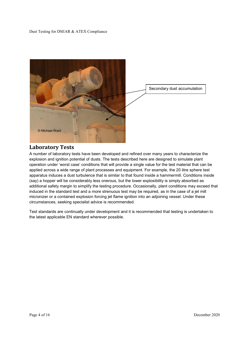

## **Laboratory Tests**

A number of laboratory tests have been developed and refined over many years to characterize the explosion and ignition potential of dusts. The tests described here are designed to simulate plant operation under 'worst case' conditions that will provide a single value for the test material that can be applied across a wide range of plant processes and equipment. For example, the 20 litre sphere test apparatus induces a dust turbulence that is similar to that found inside a hammermill. Conditions inside (say) a hopper will be considerably less onerous, but the lower explosibility is simply absorbed as additional safety margin to simplify the testing procedure. Occasionally, plant conditions may exceed that induced in the standard test and a more strenuous test may be required, as in the case of a jet mill micronizer or a contained explosion forcing jet flame ignition into an adjoining vessel. Under these circumstances, seeking specialist advice is recommended.

Test standards are continually under development and it is recommended that testing is undertaken to the latest applicable EN standard wherever possible.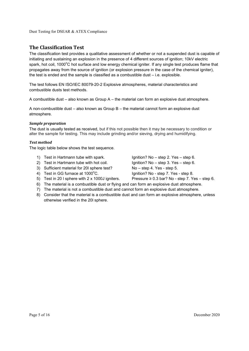## **The Classification Test**

The classification test provides a qualitative assessment of whether or not a suspended dust is capable of initiating and sustaining an explosion in the presence of 4 different sources of ignition; 10kV electric spark, hot coil, 1000<sup>o</sup>C hot surface and low energy chemical igniter. If any single test produces flame that propagates away from the source of ignition (or explosion pressure in the case of the chemical igniter), the test is ended and the sample is classified as a combustible dust – i.e. explosible.

The test follows EN ISO/IEC 80079-20-2 Explosive atmospheres, material characteristics and combustible dusts test methods.

A combustible dust – also known as Group A – the material can form an explosive dust atmosphere.

A non-combustible dust – also known as Group B – the material cannot form an explosive dust atmosphere.

#### *Sample preparation*

The dust is usually tested as received, but if this not possible then it may be necessary to condition or alter the sample for testing. This may include grinding and/or sieving, drying and humidifying.

#### *Test method*

The logic table below shows the test sequence.

- 1) Test in Hartmann tube with spark. Ignition? No step 2. Yes step 6.
- 2) Test in Hartmann tube with hot coil.  $I$ gnition? No step 3. Yes step 6.
- 3) Sufficient material for 20l sphere test? No step 4. Yes step 5.
- 4) Test in GG furnace at 1000°C. Ignition? No step 7. Yes step 8.
- 

- 
- 
- 
- 5) Test in 20 I sphere with  $2 \times 1000$ J igniters. Pressure  $\ge 0.3$  bar? No step 7. Yes step 6.
- 6) The material is a combustible dust or flying and can form an explosive dust atmosphere.
- 7) The material is not a combustible dust and cannot form an explosive dust atmosphere.
- 8) Consider that the material is a combustible dust and can form an explosive atmosphere, unless otherwise verified in the 20l sphere.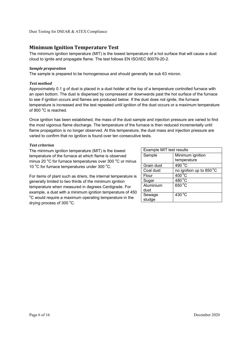## **Minimum Ignition Temperature Test**

The minimum ignition temperature (MIT) is the lowest temperature of a hot surface that will cause a dust cloud to ignite and propagate flame. The test follows EN ISO/IEC 80079-20-2.

#### *Sample preparation*

The sample is prepared to be homogeneous and should generally be sub 63 micron.

#### *Test method*

Approximately 0.1 g of dust is placed in a dust holder at the top of a temperature controlled furnace with an open bottom. The dust is dispersed by compressed air downwards past the hot surface of the furnace to see if ignition occurs and flames are produced below. If the dust does not ignite, the furnace temperature is increased and the test repeated until ignition of the dust occurs or a maximum temperature of 800 $^{\circ}$ C is reached.

Once ignition has been established, the mass of the dust sample and injection pressure are varied to find the most vigorous flame discharge. The temperature of the furnace is then reduced incrementally until flame propagation is no longer observed. At this temperature, the dust mass and injection pressure are varied to confirm that no ignition is found over ten consecutive tests.

#### *Test criterion*

The minimum ignition temperature (MIT) is the lowest temperature of the furnace at which flame is observed minus 20 °C for furnace temperatures over 300 °C or minus 10 °C for furnace temperatures under 300 °C.

For items of plant such as driers, the internal temperature is generally limited to two thirds of the minimum ignition temperature when measured in degrees Centigrade. For example, a dust with a minimum ignition temperature of 450 <sup>o</sup>C would require a maximum operating temperature in the drying process of  $300^{\circ}$ C.

| Example MIT test results |                          |  |
|--------------------------|--------------------------|--|
| Sample                   | Minimum ignition         |  |
|                          | temperature              |  |
| Grain dust               | 490 °C                   |  |
| Coal dust                | no ignition up to 850 °C |  |
| Flour                    | $400^{\circ}$ C          |  |
| Sugar                    | $480^{\circ}$ C          |  |
| Aluminium                | $650^{\circ}$ C          |  |
| dust                     |                          |  |
| Sewage                   | $430^{\circ}$ C          |  |
| sludge                   |                          |  |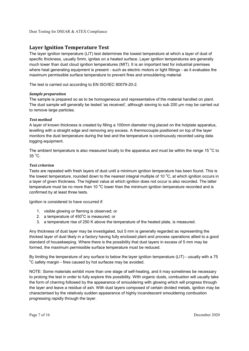## **Layer Ignition Temperature Test**

The layer ignition temperature (LIT) test determines the lowest temperature at which a layer of dust of specific thickness, usually 5mm, ignites on a heated surface. Layer ignition temperatures are generally much lower than dust cloud ignition temperatures (MIT). It is an important test for industrial premises where heat generating equipment is present - such as electric motors or light fittings - as it evaluates the maximum permissible surface temperature to prevent fires and smouldering material.

The test is carried out according to EN ISO/IEC 80079-20-2.

#### *Sample preparation*

The sample is prepared so as to be homogeneous and representative of the material handled on plant. The dust sample will generally be tested 'as received', although sieving to sub 200 μm may be carried out to remove large particles.

#### *Test method*

A layer of known thickness is created by filling a 100mm diameter ring placed on the hotplate apparatus, levelling with a straight edge and removing any excess. A thermocouple positioned on top of the layer monitors the dust temperature during the test and the temperature is continuously recorded using data logging equipment.

The ambient temperature is also measured locally to the apparatus and must be within the range 15  $\degree$ C to  $35^{\circ}$ C.

#### *Test criterion*

Tests are repeated with fresh layers of dust until a minimum ignition temperature has been found. This is the lowest temperature, rounded down to the nearest integral multiple of 10  $^{\circ}$ C, at which ignition occurs in a layer of given thickness. The highest value at which ignition does not occur is also recorded. The latter temperature must be no more than 10  $^{\circ}$ C lower than the minimum ignition temperature recorded and is confirmed by at least three tests.

Ignition is considered to have occurred if:

- 1. visible glowing or flaming is observed; or
- 2. a temperature of  $450^{\circ}$ C is measured; or
- 3. a temperature rise of 250 K above the temperature of the heated plate, is measured.

Any thickness of dust layer may be investigated, but 5 mm is generally regarded as representing the thickest layer of dust likely in a factory having fully enclosed plant and process operations allied to a good standard of housekeeping. Where there is the possibility that dust layers in excess of 5 mm may be formed, the maximum permissible surface temperature must be reduced.

By limiting the temperature of any surface to below the layer ignition temperature (LIT) - usually with a 75 <sup>o</sup>C safety margin - fires caused by hot surfaces may be avoided.

NOTE: Some materials exhibit more than one stage of self-heating, and it may sometimes be necessary to prolong the test in order to fully explore this possibility. With organic dusts, combustion will usually take the form of charring followed by the appearance of smouldering with glowing which will progress through the layer and leave a residue of ash. With dust layers composed of certain divided metals, ignition may be characterised by the relatively sudden appearance of highly incandescent smouldering combustion progressing rapidly through the layer.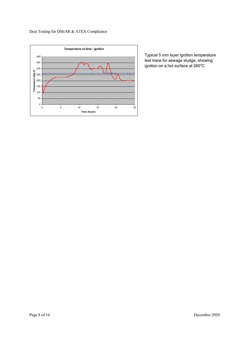



Typical 5 mm layer ignition temperature test trace for sewage sludge, showing ignition on a hot surface at 260°C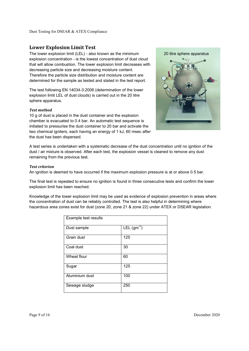## **Lower Explosion Limit Test**

The lower explosion limit (LEL) - also known as the minimum explosion concentration - is the lowest concentration of dust cloud that will allow combustion. The lower explosion limit decreases with decreasing particle size and decreasing moisture content. Therefore the particle size distribution and moisture content are determined for the sample as tested and stated in the test report.

The test following EN 14034-3:2006 (determination of the lower explosion limit LEL of dust clouds) is carried out in the 20 litre sphere apparatus.

#### *Test method*

10 g of dust is placed in the dust container and the explosion chamber is evacuated to 0.4 bar. An automatic test sequence is initiated to pressurise the dust container to 20 bar and activate the two chemical igniters, each having an energy of 1 kJ, 60 msec after the dust has been dispersed.



A test series is undertaken with a systematic decrease of the dust concentration until no ignition of the dust / air mixture is observed. After each test, the explosion vessel is cleaned to remove any dust remaining from the previous test.

#### *Test criterion*

An ignition is deemed to have occurred if the maximum explosion pressure is at or above 0.5 bar.

The final test is repeated to ensure no ignition is found in three consecutive tests and confirm the lower explosion limit has been reached.

Knowledge of the lower explosion limit may be used as evidence of explosion prevention in areas where the concentration of dust can be reliably controlled. The test is also helpful in determining where hazardous area zones exist for dust (zone 20, zone 21 & zone 22) under ATEX or DSEAR legislation.

| Example test results |                 |  |
|----------------------|-----------------|--|
| Dust sample          | LEL $(gm^{-3})$ |  |
| Grain dust           | 125             |  |
| Coal dust            | 30              |  |
| Wheat flour          | 60              |  |
| Sugar                | 125             |  |
| Aluminium dust       | 100             |  |
| Sewage sludge        | 250             |  |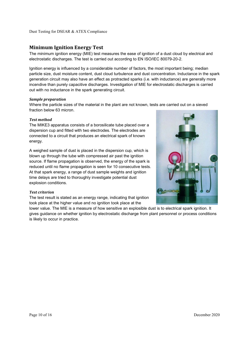## **Minimum Ignition Energy Test**

The minimum ignition energy (MIE) test measures the ease of ignition of a dust cloud by electrical and electrostatic discharges. The test is carried out according to EN ISO/IEC 80079-20-2.

Ignition energy is influenced by a considerable number of factors, the most important being; median particle size, dust moisture content, dust cloud turbulence and dust concentration. Inductance in the spark generation circuit may also have an effect as protracted sparks (i.e. with inductance) are generally more incendive than purely capacitive discharges. Investigation of MIE for electrostatic discharges is carried out with no inductance in the spark generating circuit.

#### *Sample preparation*

Where the particle sizes of the material in the plant are not known, tests are carried out on a sieved fraction below 63 micron.

#### *Test method*

The MIKE3 apparatus consists of a borosilicate tube placed over a dispersion cup and fitted with two electrodes. The electrodes are connected to a circuit that produces an electrical spark of known energy.

A weighed sample of dust is placed in the dispersion cup, which is blown up through the tube with compressed air past the ignition source. If flame propagation is observed, the energy of the spark is reduced until no flame propagation is seen for 10 consecutive tests. At that spark energy, a range of dust sample weights and ignition time delays are tried to thoroughly investigate potential dust explosion conditions.



#### *Test criterion*

The test result is stated as an energy range, indicating that ignition took place at the higher value and no ignition took place at the

lower value. The MIE is a measure of how sensitive an explosible dust is to electrical spark ignition. It gives guidance on whether ignition by electrostatic discharge from plant personnel or process conditions is likely to occur in practice.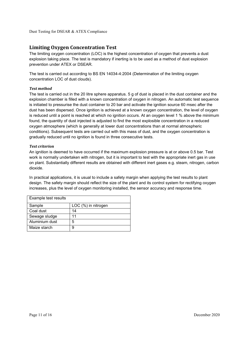## **Limiting Oxygen Concentration Test**

The limiting oxygen concentration (LOC) is the highest concentration of oxygen that prevents a dust explosion taking place. The test is mandatory if inerting is to be used as a method of dust explosion prevention under ATEX or DSEAR.

The test is carried out according to BS EN 14034-4:2004 (Determination of the limiting oxygen concentration LOC of dust clouds).

#### *Test method*

The test is carried out in the 20 litre sphere apparatus. 5 g of dust is placed in the dust container and the explosion chamber is filled with a known concentration of oxygen in nitrogen. An automatic test sequence is initiated to pressurise the dust container to 20 bar and activate the ignition source 60 msec after the dust has been dispersed. Once ignition is achieved at a known oxygen concentration, the level of oxygen is reduced until a point is reached at which no ignition occurs. At an oxygen level 1 % above the minimum found, the quantity of dust injected is adjusted to find the most explosible concentration in a reduced oxygen atmosphere (which is generally at lower dust concentrations than at normal atmospheric conditions). Subsequent tests are carried out with this mass of dust, and the oxygen concentration is gradually reduced until no ignition is found in three consecutive tests.

#### *Test criterion*

An ignition is deemed to have occurred if the maximum explosion pressure is at or above 0.5 bar. Test work is normally undertaken with nitrogen, but it is important to test with the appropriate inert gas in use on plant. Substantially different results are obtained with different inert gases e.g. steam, nitrogen, carbon dioxide.

In practical applications, it is usual to include a safety margin when applying the test results to plant design. The safety margin should reflect the size of the plant and its control system for rectifying oxygen increases, plus the level of oxygen monitoring installed, the sensor accuracy and response time.

| Example test results |                     |
|----------------------|---------------------|
| Sample               | LOC (%) in nitrogen |
| Coal dust            | 14                  |
| Sewage sludge        | 11                  |
| Aluminium dust       | 5                   |
| Maize starch         |                     |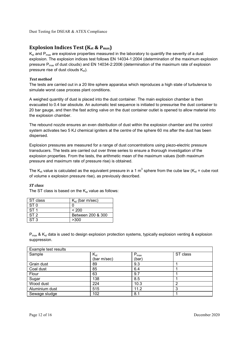## **Explosion Indices Test (Kst & Pmax)**

 $K_{st}$  and  $P_{max}$  are explosive properties measured in the laboratory to quantify the severity of a dust explosion. The explosion indices test follows EN 14034-1:2004 (determination of the maximum explosion pressure Pmax of dust clouds) and EN 14034-2:2006 (determination of the maximum rate of explosion pressure rise of dust clouds  $K_{st}$ ).

#### *Test method*

The tests are carried out in a 20 litre sphere apparatus which reproduces a high state of turbulence to simulate worst case process plant conditions.

A weighed quantity of dust is placed into the dust container. The main explosion chamber is then evacuated to 0.4 bar absolute. An automatic test sequence is initiated to pressurise the dust container to 20 bar gauge, and then the fast acting valve on the dust container outlet is opened to allow material into the explosion chamber.

The rebound nozzle ensures an even distribution of dust within the explosion chamber and the control system activates two 5 KJ chemical igniters at the centre of the sphere 60 ms after the dust has been dispersed.

Explosion pressures are measured for a range of dust concentrations using piezo-electric pressure transducers. The tests are carried out over three series to ensure a thorough investigation of the explosion properties. From the tests, the arithmetic mean of the maximum values (both maximum pressure and maximum rate of pressure rise) is obtained.

The K<sub>st</sub> value is calculated as the equivalent pressure in a 1 m<sup>3</sup> sphere from the cube law (K<sub>st</sub> = cube root of volume x explosion pressure rise), as previously described.

#### *ST class*

The ST class is based on the  $K_{st}$  value as follows:

| ST class        | $K_{st}$ (bar m/sec) |
|-----------------|----------------------|
| ST 0            |                      |
| ST <sub>1</sub> | < 200                |
| ST <sub>2</sub> | Between 200 & 300    |
| ST <sub>3</sub> | >300                 |

 $P_{max}$  &  $K_{st}$  data is used to design explosion protection systems, typically explosion venting & explosion suppression.

| Example test results |                         |                    |          |
|----------------------|-------------------------|--------------------|----------|
| Sample               | $K_{st}$<br>(bar m/sec) | $P_{max}$<br>(bar) | ST class |
| Grain dust           | 89                      | 9.3                |          |
| Coal dust            | 85                      | 6.4                |          |
| Flour                | 63                      | 9.7                |          |
| Sugar                | 138                     | 8.5                |          |
| Wood dust            | 224                     | 10.3               | 2        |
| Aluminium dust       | 515                     | 11.2               | 3        |
| Sewage sludge        | 102                     | 8.1                |          |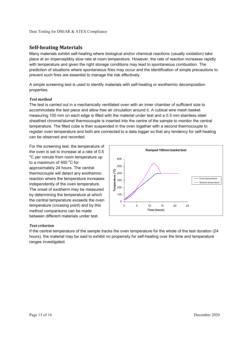## **Self-heating Materials**

Many materials exhibit self-heating where biological and/or chemical reactions (usually oxidation) take place at an imperceptibly slow rate at room temperature. However, the rate of reaction increases rapidly with temperature and given the right storage conditions may lead to spontaneous combustion. The prediction of situations where spontaneous fires may occur and the identification of simple precautions to prevent such fires are essential to manage the risk effectively.

A simple screening test is used to identify materials with self-heating or exothermic decomposition properties.

#### *Test method*

The test is carried out in a mechanically ventilated oven with an inner chamber of sufficient size to accommodate the test piece and allow free air circulation around it. A cubical wire mesh basket measuring 100 mm on each edge is filled with the material under test and a 0.5 mm stainless steel sheathed chromel/alumel thermocouple is inserted into the centre of the sample to monitor the central temperature. The filled cube is then suspended in the oven together with a second thermocouple to register oven temperature and both are connected to a data logger so that any tendency for self-heating can be observed and recorded.

For the screening test, the temperature of the oven is set to increase at a rate of 0.5 <sup>o</sup>C per minute from room temperature up to a maximum of 400 $\degree$ C for approximately 24 hours. The central thermocouple will detect any exothermic reaction where the temperature increases independently of the oven temperature. The onset of exotherm may be measured by determining the temperature at which the central temperature exceeds the oven temperature (crossing point) and by this method comparisons can be made between different materials under test.



#### *Test criterion*

If the central temperature of the sample tracks the oven temperature for the whole of the test duration (24 hours), the material may be said to exhibit no propensity for self-heating over the time and temperature ranges investigated.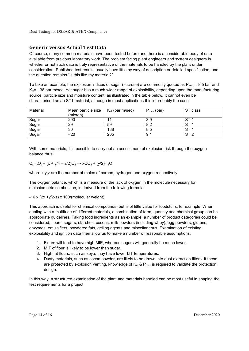## **Generic versus Actual Test Data**

Of course, many common materials have been tested before and there is a considerable body of data available from previous laboratory work. The problem facing plant engineers and system designers is whether or not such data is truly representative of the materials to be handled by the plant under consideration. Published test results usually have little by way of description or detailed specification, and the question remains "is this like my material?"

To take an example, the explosion indices of sugar (sucrose) are commonly quoted as  $P_{max}$  = 8.5 bar and  $K_{\rm e}$  = 138 bar m/sec. Yet sugar has a much wider range of explosibility, depending upon the manufacturing source, particle size and moisture content, as illustrated in the table below. It cannot even be characterised as an ST1 material, although in most applications this is probably the case.

| Material | Mean particle size<br>(micron) | $K_{st}$ (bar m/sec) | $P_{\sf max}$ (bar)<br>D | ST class        |
|----------|--------------------------------|----------------------|--------------------------|-----------------|
| Sugar    | 290                            |                      | 3.9                      | ᇬ<br>১।         |
| Sugar    | 29                             | 59                   | 8.2                      | ST              |
| Sugar    | 30                             | 138                  | 8.5                      | ⌒⊤              |
| Sugar    | <20                            | 205                  | 9.1                      | ST <sub>2</sub> |

With some materials, it is possible to carry out an assessment of explosion risk through the oxygen balance thus:

 $C_xH_yO_z + (x + y/4 - z/2)O_2 \rightarrow xCO_2 + (y/2)H_2O$ 

where x,y,z are the number of moles of carbon, hydrogen and oxygen respectively

The oxygen balance, which is a measure of the lack of oxygen in the molecule necessary for stoichiometric combustion, is derived from the following formula:

 $-16$  x (2x +y/2-z) x 100/(molecular weight)

This approach is useful for chemical compounds, but is of little value for foodstuffs, for example. When dealing with a multitude of different materials, a combination of form, quantity and chemical group can be appropriate guidelines. Taking food ingredients as an example, a number of product categories could be considered; flours, sugars, starches, cocoas, milk powders (including whey), egg powders, glutens, enzymes, emulsifiers, powdered fats, gelling agents and miscellaneous. Examination of existing explosibility and ignition data then allow us to make a number of reasonable assumptions:

- 1. Flours will tend to have high MIE, whereas sugars will generally be much lower.
- 2. MIT of flour is likely to be lower than sugar.
- 3. High fat flours, such as soya, may have lower LIT temperatures.
- 4. Dusty materials, such as cocoa powder, are likely to be drawn into dust extraction filters. If these are protected by explosion venting, knowledge of  $K_{st}$  &  $P_{max}$  is required to validate the protection design.

In this way, a structured examination of the plant and materials handled can be most useful in shaping the test requirements for a project.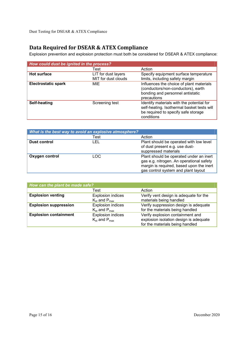# **Data Required for DSEAR & ATEX Compliance**

Explosion prevention and explosion protection must both be considered for DSEAR & ATEX compliance:

| How could dust be ignited in the process? |                                            |                                                                                                                                              |
|-------------------------------------------|--------------------------------------------|----------------------------------------------------------------------------------------------------------------------------------------------|
|                                           | Test                                       | Action                                                                                                                                       |
| <b>Hot surface</b>                        | LIT for dust layers<br>MIT for dust clouds | Specify equipment surface temperature<br>limits, including safety margin                                                                     |
| <b>Electrostatic spark</b>                | MIE                                        | Influences the choice of plant materials<br>(conductors/non-conductors), earth<br>bonding and personnel antistatic<br>precautions            |
| Self-heating                              | Screening test                             | Identify materials with the potential for<br>self-heating. Isothermal basket tests will<br>be required to specify safe storage<br>conditions |

| What is the best way to avoid an explosive atmosphere? |      |                                                                                                                                                                        |
|--------------------------------------------------------|------|------------------------------------------------------------------------------------------------------------------------------------------------------------------------|
|                                                        | Test | Action                                                                                                                                                                 |
| <b>Dust control</b>                                    | LEL  | Plant should be operated with low level<br>of dust present e.g. use dust-<br>suppressed materials                                                                      |
| Oxygen control                                         | LOC  | Plant should be operated under an inert<br>gas e.g. nitrogen. An operational safety<br>margin is required, based upon the inert<br>gas control system and plant layout |

| How can the plant be made safe? |                                                    |                                                                                                               |
|---------------------------------|----------------------------------------------------|---------------------------------------------------------------------------------------------------------------|
|                                 | Test                                               | Action                                                                                                        |
| <b>Explosion venting</b>        | <b>Explosion indices</b><br>$K_{st}$ and $P_{max}$ | Verify vent design is adequate for the<br>materials being handled                                             |
| <b>Explosion suppression</b>    | <b>Explosion indices</b><br>$K_{st}$ and $P_{max}$ | Verify suppression design is adequate<br>for the materials being handled                                      |
| <b>Explosion containment</b>    | <b>Explosion indices</b><br>$K_{st}$ and $P_{max}$ | Verify explosion containment and<br>explosion isolation design is adequate<br>for the materials being handled |